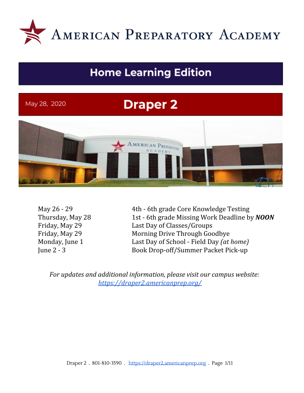

# **Home Learning Edition**

May 28, 2020

# **Draper 2**



May 26 - 29 4th - 6th grade Core Knowledge Testing Thursday, May 28 1st - 6th grade Missing Work Deadline by *NOON* Friday, May 29 Last Day of Classes/Groups Friday, May 29 Morning Drive Through Goodbye Monday, June 1 Last Day of School - Field Day *(at home)* June 2 - 3 Book Drop-off/Summer Packet Pick-up

*For updates and additional information, please visit our campus website: <https://draper2.americanprep.org/>*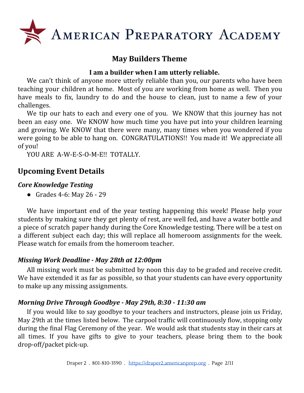

# **May Builders Theme**

#### **I am a builder when I am utterly reliable.**

We can't think of anyone more utterly reliable than you, our parents who have been teaching your children at home. Most of you are working from home as well. Then you have meals to fix, laundry to do and the house to clean, just to name a few of your challenges.

We tip our hats to each and every one of you. We KNOW that this journey has not been an easy one. We KNOW how much time you have put into your children learning and growing. We KNOW that there were many, many times when you wondered if you were going to be able to hang on. CONGRATULATIONS!! You made it! We appreciate all of you!

YOU ARE A-W-E-S-O-M-E!! TOTALLY.

# **Upcoming Event Details**

#### *Core Knowledge Testing*

● Grades 4-6: May 26 - 29

We have important end of the year testing happening this week! Please help your students by making sure they get plenty of rest, are well fed, and have a water bottle and a piece of scratch paper handy during the Core Knowledge testing. There will be a test on a different subject each day; this will replace all homeroom assignments for the week. Please watch for emails from the homeroom teacher.

#### *Missing Work Deadline - May 28th at 12:00pm*

All missing work must be submitted by noon this day to be graded and receive credit. We have extended it as far as possible, so that your students can have every opportunity to make up any missing assignments.

#### *Morning Drive Through Goodbye - May 29th, 8:30 - 11:30 am*

If you would like to say goodbye to your teachers and instructors, please join us Friday, May 29th at the times listed below. The carpool traffic will continuously flow, stopping only during the final Flag Ceremony of the year. We would ask that students stay in their cars at all times. If you have gifts to give to your teachers, please bring them to the book drop-off/packet pick-up.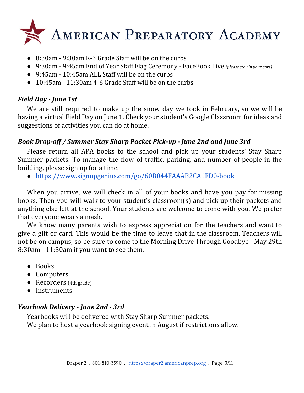

- 8:30am 9:30am K-3 Grade Staff will be on the curbs
- 9:30am 9:45am End of Year Staff Flag Ceremony FaceBook Live *(please stay in your cars)*
- 9:45am 10:45am ALL Staff will be on the curbs
- $\bullet$  10:45am 11:30am 4-6 Grade Staff will be on the curbs

### *Field Day - June 1st*

We are still required to make up the snow day we took in February, so we will be having a virtual Field Day on June 1. Check your student's Google Classroom for ideas and suggestions of activities you can do at home.

## *Book Drop-off / Summer Stay Sharp Packet Pick-up - June 2nd and June 3rd*

Please return all APA books to the school and pick up your students' Stay Sharp Summer packets. To manage the flow of traffic, parking, and number of people in the building, please sign up for a time.

● <https://www.signupgenius.com/go/60B044FAAAB2CA1FD0-book>

When you arrive, we will check in all of your books and have you pay for missing books. Then you will walk to your student's classroom(s) and pick up their packets and anything else left at the school. Your students are welcome to come with you. We prefer that everyone wears a mask.

We know many parents wish to express appreciation for the teachers and want to give a gift or card. This would be the time to leave that in the classroom. Teachers will not be on campus, so be sure to come to the Morning Drive Through Goodbye - May 29th 8:30am - 11:30am if you want to see them.

- Books
- Computers
- Recorders (4th grade)
- Instruments

## *Yearbook Delivery - June 2nd - 3rd*

Yearbooks will be delivered with Stay Sharp Summer packets. We plan to host a yearbook signing event in August if restrictions allow.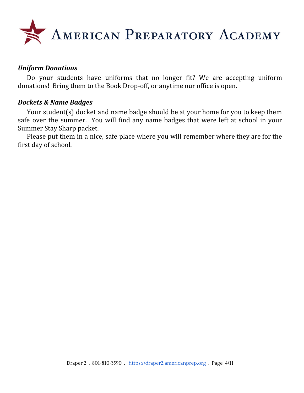

#### *Uniform Donations*

Do your students have uniforms that no longer fit? We are accepting uniform donations! Bring them to the Book Drop-off, or anytime our office is open.

#### *Dockets & Name Badges*

Your student(s) docket and name badge should be at your home for you to keep them safe over the summer. You will find any name badges that were left at school in your Summer Stay Sharp packet.

Please put them in a nice, safe place where you will remember where they are for the first day of school.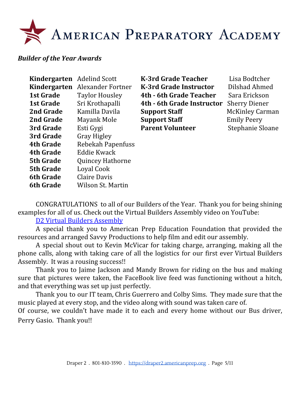#### *Builder of the Year Awards*

| <b>Kindergarten</b> Adelind Scott |                                | K-3rd Grade Teacher        | Lisa Bodtcher          |
|-----------------------------------|--------------------------------|----------------------------|------------------------|
|                                   | Kindergarten Alexander Fortner | K-3rd Grade Instructor     | Dilshad Ahmed          |
| 1st Grade                         | <b>Taylor Housley</b>          | 4th - 6th Grade Teacher    | Sara Erickson          |
| 1st Grade                         | Sri Krothapalli                | 4th - 6th Grade Instructor | <b>Sherry Diener</b>   |
| 2nd Grade                         | Kamilla Davila                 | <b>Support Staff</b>       | <b>McKinley Carman</b> |
| 2nd Grade                         | Mayank Mole                    | <b>Support Staff</b>       | <b>Emily Peery</b>     |
| 3rd Grade                         | Esti Gygi                      | <b>Parent Volunteer</b>    | Stephanie Sloane       |
| 3rd Grade                         | <b>Gray Higley</b>             |                            |                        |
| <b>4th Grade</b>                  | Rebekah Papenfuss              |                            |                        |
| <b>4th Grade</b>                  | Eddie Kwack                    |                            |                        |
| <b>5th Grade</b>                  | <b>Quincey Hathorne</b>        |                            |                        |
| <b>5th Grade</b>                  | Loyal Cook                     |                            |                        |
| <b>6th Grade</b>                  | Claire Davis                   |                            |                        |
| <b>6th Grade</b>                  | Wilson St. Martin              |                            |                        |

CONGRATULATIONS to all of our Builders of the Year. Thank you for being shining examples for all of us. Check out the Virtual Builders Assembly video on YouTube:

D2 Virtual Builders [Assembly](https://youtu.be/1XLyDa2QeMg)

A special thank you to American Prep Education Foundation that provided the resources and arranged Savvy Productions to help film and edit our assembly.

A special shout out to Kevin McVicar for taking charge, arranging, making all the phone calls, along with taking care of all the logistics for our first ever Virtual Builders Assembly. It was a rousing success!!

Thank you to Jaime Jackson and Mandy Brown for riding on the bus and making sure that pictures were taken, the FaceBook live feed was functioning without a hitch, and that everything was set up just perfectly.

Thank you to our IT team, Chris Guerrero and Colby Sims. They made sure that the music played at every stop, and the video along with sound was taken care of.

Of course, we couldn't have made it to each and every home without our Bus driver, Perry Gasio. Thank you!!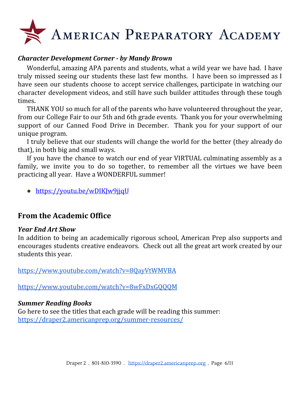#### *Character Development Corner - by Mandy Brown*

Wonderful, amazing APA parents and students, what a wild year we have had. I have truly missed seeing our students these last few months. I have been so impressed as I have seen our students choose to accept service challenges, participate in watching our character development videos, and still have such builder attitudes through these tough times.

THANK YOU so much for all of the parents who have volunteered throughout the year, from our College Fair to our 5th and 6th grade events. Thank you for your overwhelming support of our Canned Food Drive in December. Thank you for your support of our unique program.

I truly believe that our students will change the world for the better (they already do that), in both big and small ways.

If you have the chance to watch our end of year VIRTUAL culminating assembly as a family, we invite you to do so together, to remember all the virtues we have been practicing all year. Have a WONDERFUL summer!

● <https://youtu.be/wDIKJw9jjqU>

## **From the Academic Office**

#### *Year End Art Show*

In addition to being an academically rigorous school, American Prep also supports and encourages students creative endeavors. Check out all the great art work created by our students this year.

<https://www.youtube.com/watch?v=8QayVtWMVBA>

<https://www.youtube.com/watch?v=8wFxDxGQQQM>

#### *Summer Reading Books*

Go here to see the titles that each grade will be reading this summer: <https://draper2.americanprep.org/summer-resources/>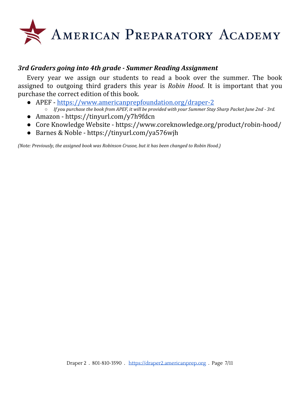

#### *3rd Graders going into 4th grade - Summer Reading Assignment*

Every year we assign our students to read a book over the summer. The book assigned to outgoing third graders this year is *Robin Hood*. It is important that you purchase the correct edition of this book.

- APEF <https://www.americanprepfoundation.org/draper-2>
	- o If you purchase the book from APEF, it will be provided with your Summer Stay Sharp Packet June 2nd 3rd.
- Amazon https://tinyurl.com/y7h9fdcn
- Core Knowledge Website https://www.coreknowledge.org/product/robin-hood/
- Barnes & Noble https://tinyurl.com/ya576wjh

*(Note: Previously, the assigned book was Robinson Crusoe, but it has been changed to Robin Hood.)*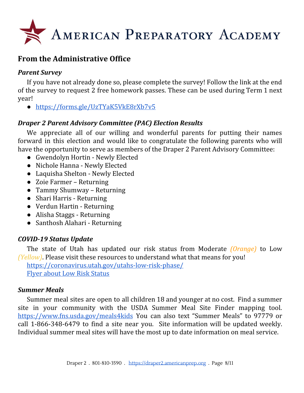

# **From the Administrative Office**

#### *Parent Survey*

If you have not already done so, please complete the survey! Follow the link at the end of the survey to request 2 free homework passes. These can be used during Term 1 next year!

● <https://forms.gle/UzTYaK5VkE8rXb7v5>

#### *Draper 2 Parent Advisory Committee (PAC) Election Results*

We appreciate all of our willing and wonderful parents for putting their names forward in this election and would like to congratulate the following parents who will have the opportunity to serve as members of the Draper 2 Parent Advisory Committee:

- Gwendolyn Hortin Newly Elected
- Nichole Hanna Newly Elected
- Laquisha Shelton Newly Elected
- Zoie Farmer Returning
- Tammy Shumway Returning
- Shari Harris Returning
- Verdun Hartin Returning
- Alisha Staggs Returning
- Santhosh Alahari Returning

#### *COVID-19 Status Update*

The state of Utah has updated our risk status from Moderate *(Orange)* to Low *(Yellow)*. Please visit these resources to understand what that means for you!

<https://coronavirus.utah.gov/utahs-low-risk-phase/> Flyer about Low Risk [Status](https://coronavirus-download.utah.gov/business/Yellow/Utahs_Low_Risk_Phase_Flyer_English.pdf)

#### *Summer Meals*

Summer meal sites are open to all children 18 and younger at no cost. Find a summer site in your community with the USDA Summer Meal Site Finder mapping tool. <https://www.fns.usda.gov/meals4kids> You can also text "Summer Meals" to 97779 or call 1-866-348-6479 to find a site near you. Site information will be updated weekly. Individual summer meal sites will have the most up to date information on meal service.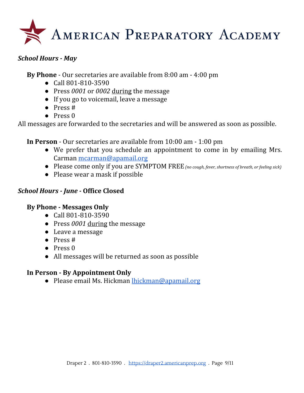

#### *School Hours - May*

**By Phone** - Our secretaries are available from 8:00 am - 4:00 pm

- Call 801-810-3590
- Press *0001* or *0002* during the message
- If you go to voicemail, leave a message
- $\bullet$  Press #
- $\bullet$  Press  $\theta$

All messages are forwarded to the secretaries and will be answered as soon as possible.

**In Person** - Our secretaries are available from 10:00 am - 1:00 pm

- We prefer that you schedule an appointment to come in by emailing Mrs. Carman [mcarman@apamail.org](mailto:mcarman@apamail.org)
- Please come only if you are SYMPTOM FREE*(no cough, fever, shortness of breath, or feeling sick)*
- Please wear a mask if possible

#### *School Hours - June -* **Office Closed**

#### **By Phone - Messages Only**

- Call 801-810-3590
- Press *0001* during the message
- Leave a message
- Press #
- Press 0
- All messages will be returned as soon as possible

#### **In Person - By Appointment Only**

● Please email Ms. Hickman [lhickman@apamail.org](mailto:lhickman@apamail.org)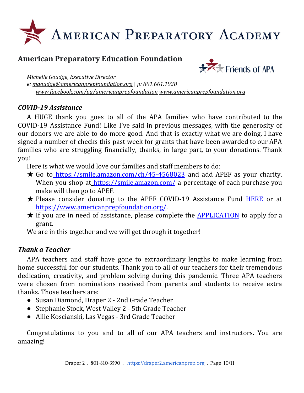# **American Preparatory Education Foundation**



*Michelle Goudge, Executive Director e: [mgoudge@americanprepfoundation.org](mailto:mgoudge@americanprepfoundation.org)* | *p: 801.661.1928 [www.facebook.com/pg/americanprepfoundation](http://www.facebook.com/pg/americanprepfoundation) [www.americanprepfoundation.org](http://www.americanprepfoundation.org/)*

#### *COVID-19 Assistance*

A HUGE thank you goes to all of the APA families who have contributed to the COVID-19 Assistance Fund! Like I've said in previous messages, with the generosity of our donors we are able to do more good. And that is exactly what we are doing. I have signed a number of checks this past week for grants that have been awarded to our APA families who are struggling financially, thanks, in large part, to your donations. Thank you!

Here is what we would love our families and staff members to do:

- $\star$  Go to <https://smile.amazon.com/ch/45-4568023> and add APEF as your charity. When you shop at <https://smile.amazon.com/> a percentage of each purchase you make will then go to APEF.
- ★ Please consider donating to the APEF COVID-19 Assistance Fund [HERE](https://app.moonclerk.com/pay/2r6mz46rbri7) or a[t](https://www.americanprepfoundation.org/) <https://www.americanprepfoundation.org/>.
- ★ If you are in need of assistance, please complete the [APPLICATION](https://docs.google.com/spreadsheets/u/2/d/1nn7B0brlNYgovj2QrkCK-tph90wa4axMuSBG0L0AuUM/copy) to apply for a grant.

We are in this together and we will get through it together!

#### *Thank a Teacher*

APA teachers and staff have gone to extraordinary lengths to make learning from home successful for our students. Thank you to all of our teachers for their tremendous dedication, creativity, and problem solving during this pandemic. Three APA teachers were chosen from nominations received from parents and students to receive extra thanks. Those teachers are:

- Susan Diamond, Draper 2 2nd Grade Teacher
- Stephanie Stock, West Valley 2 5th Grade Teacher
- Allie Koscianski, Las Vegas 3rd Grade Teacher

Congratulations to you and to all of our APA teachers and instructors. You are amazing!